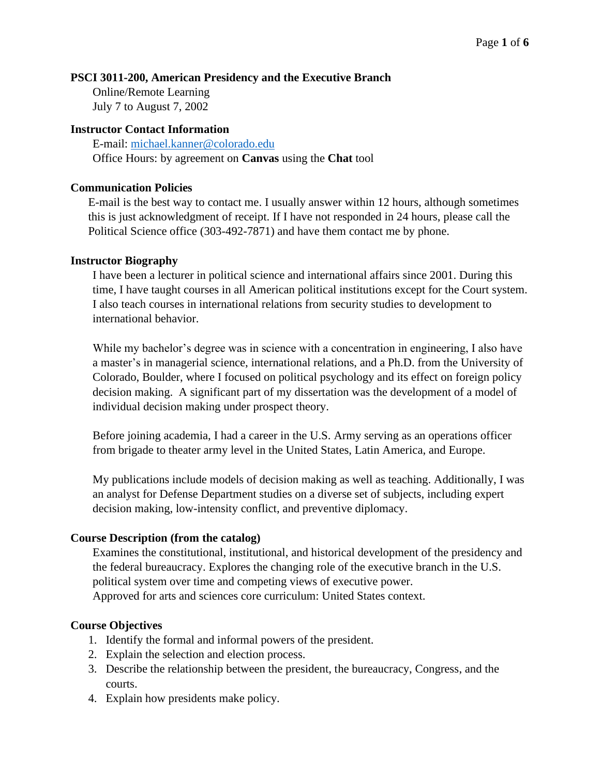# **PSCI 3011-200, American Presidency and the Executive Branch**

Online/Remote Learning July 7 to August 7, 2002

### **Instructor Contact Information**

E-mail: [michael.kanner@colorado.edu](mailto:michael.kanner@colorado.edu) Office Hours: by agreement on **Canvas** using the **Chat** tool

### **Communication Policies**

E-mail is the best way to contact me. I usually answer within 12 hours, although sometimes this is just acknowledgment of receipt. If I have not responded in 24 hours, please call the Political Science office (303-492-7871) and have them contact me by phone.

### **Instructor Biography**

I have been a lecturer in political science and international affairs since 2001. During this time, I have taught courses in all American political institutions except for the Court system. I also teach courses in international relations from security studies to development to international behavior.

While my bachelor's degree was in science with a concentration in engineering, I also have a master's in managerial science, international relations, and a Ph.D. from the University of Colorado, Boulder, where I focused on political psychology and its effect on foreign policy decision making. A significant part of my dissertation was the development of a model of individual decision making under prospect theory.

Before joining academia, I had a career in the U.S. Army serving as an operations officer from brigade to theater army level in the United States, Latin America, and Europe.

My publications include models of decision making as well as teaching. Additionally, I was an analyst for Defense Department studies on a diverse set of subjects, including expert decision making, low-intensity conflict, and preventive diplomacy.

## **Course Description (from the catalog)**

Examines the constitutional, institutional, and historical development of the presidency and the federal bureaucracy. Explores the changing role of the executive branch in the U.S. political system over time and competing views of executive power. Approved for arts and sciences core curriculum: United States context.

## **Course Objectives**

- 1. Identify the formal and informal powers of the president.
- 2. Explain the selection and election process.
- 3. Describe the relationship between the president, the bureaucracy, Congress, and the courts.
- 4. Explain how presidents make policy.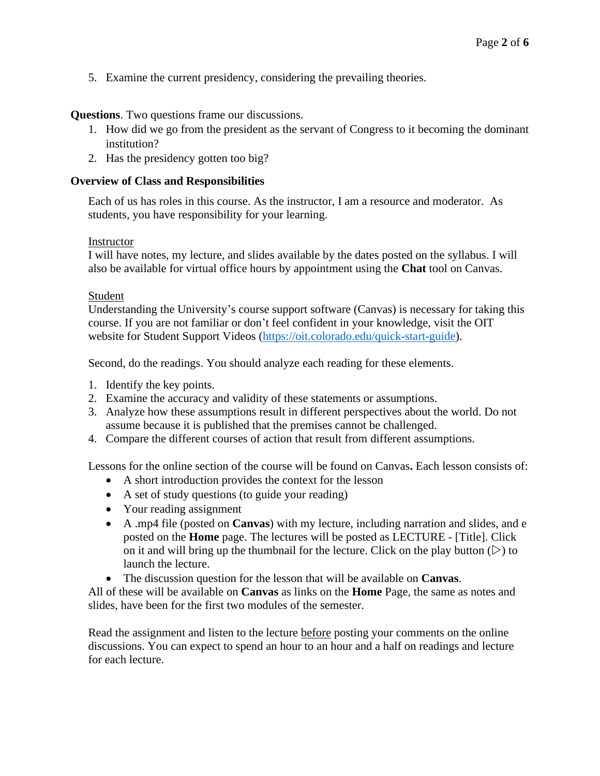5. Examine the current presidency, considering the prevailing theories.

**Questions**. Two questions frame our discussions.

- 1. How did we go from the president as the servant of Congress to it becoming the dominant institution?
- 2. Has the presidency gotten too big?

## **Overview of Class and Responsibilities**

Each of us has roles in this course. As the instructor, I am a resource and moderator. As students, you have responsibility for your learning.

## Instructor

I will have notes, my lecture, and slides available by the dates posted on the syllabus. I will also be available for virtual office hours by appointment using the **Chat** tool on Canvas.

### Student

Understanding the University's course support software (Canvas) is necessary for taking this course. If you are not familiar or don't feel confident in your knowledge, visit the OIT website for Student Support Videos [\(https://oit.colorado.edu/quick-start-guide\)](https://oit.colorado.edu/quick-start-guide).

Second, do the readings. You should analyze each reading for these elements.

- 1. Identify the key points.
- 2. Examine the accuracy and validity of these statements or assumptions.
- 3. Analyze how these assumptions result in different perspectives about the world. Do not assume because it is published that the premises cannot be challenged.
- 4. Compare the different courses of action that result from different assumptions.

Lessons for the online section of the course will be found on Canvas**.** Each lesson consists of:

- A short introduction provides the context for the lesson
- A set of study questions (to guide your reading)
- Your reading assignment
- A .mp4 file (posted on **Canvas**) with my lecture, including narration and slides, and e posted on the **Home** page. The lectures will be posted as LECTURE - [Title]. Click on it and will bring up the thumbnail for the lecture. Click on the play button  $(\triangleright)$  to launch the lecture.
- The discussion question for the lesson that will be available on **Canvas**.

All of these will be available on **Canvas** as links on the **Home** Page, the same as notes and slides, have been for the first two modules of the semester.

Read the assignment and listen to the lecture before posting your comments on the online discussions. You can expect to spend an hour to an hour and a half on readings and lecture for each lecture.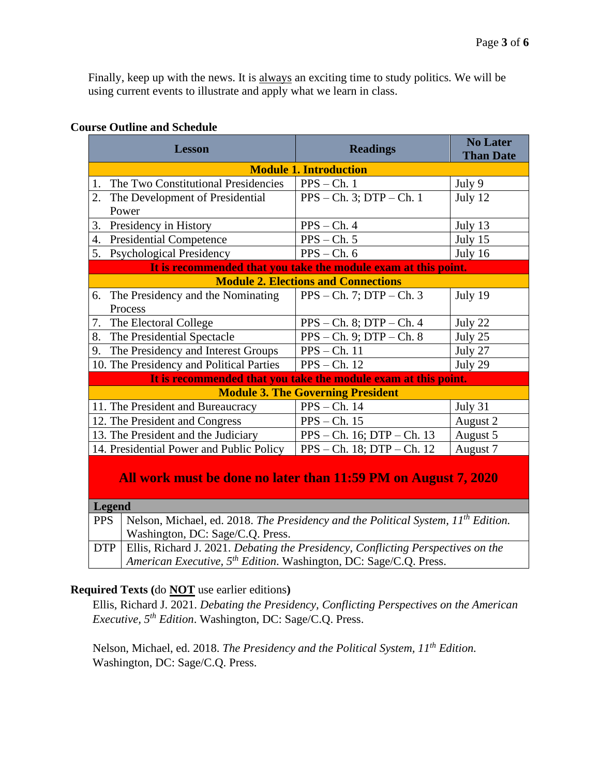**Than Date**

Finally, keep up with the news. It is always an exciting time to study politics. We will be using current events to illustrate and apply what we learn in class.

|    | <b>Lesson</b>                                                  | <b>Readings</b>                                                        | <b>No Later</b><br><b>Than Date</b> |  |  |  |  |  |  |  |
|----|----------------------------------------------------------------|------------------------------------------------------------------------|-------------------------------------|--|--|--|--|--|--|--|
|    |                                                                | <b>Module 1. Introduction</b>                                          |                                     |  |  |  |  |  |  |  |
| 1. | The Two Constitutional Presidencies                            | $PPS - Ch.1$                                                           | July 9                              |  |  |  |  |  |  |  |
| 2. | The Development of Presidential                                | $PPS - Ch. 3$ ; $DTP - Ch. 1$                                          | July 12                             |  |  |  |  |  |  |  |
|    | Power                                                          |                                                                        |                                     |  |  |  |  |  |  |  |
| 3. | Presidency in History                                          | $PPS - Ch. 4$                                                          | July 13                             |  |  |  |  |  |  |  |
| 4. | <b>Presidential Competence</b>                                 | $PPS - Ch. 5$                                                          | July 15                             |  |  |  |  |  |  |  |
| 5. | <b>Psychological Presidency</b>                                | $PPS - Ch. 6$                                                          | July 16                             |  |  |  |  |  |  |  |
|    | It is recommended that you take the module exam at this point. |                                                                        |                                     |  |  |  |  |  |  |  |
|    |                                                                | <b>Module 2. Elections and Connections</b>                             |                                     |  |  |  |  |  |  |  |
| 6. | The Presidency and the Nominating                              | $PPS - Ch. 7$ ; $DTP - Ch. 3$                                          | July 19                             |  |  |  |  |  |  |  |
|    | Process                                                        |                                                                        |                                     |  |  |  |  |  |  |  |
| 7. | The Electoral College                                          | $PPS - Ch. 8$ ; $DTP - Ch. 4$                                          | July 22                             |  |  |  |  |  |  |  |
| 8. | The Presidential Spectacle                                     | $PPS - Ch. 9$ ; $DTP - Ch. 8$                                          | July 25                             |  |  |  |  |  |  |  |
| 9. | The Presidency and Interest Groups                             | $PPS - Ch. 11$                                                         | July 27                             |  |  |  |  |  |  |  |
|    | 10. The Presidency and Political Parties                       | $PPS - Ch. 12$                                                         | July 29                             |  |  |  |  |  |  |  |
|    |                                                                | It is no converse and cd that you toles the module cycne of this naint |                                     |  |  |  |  |  |  |  |

# **Course Outline and Schedule**

| It is recommended that you take the module exam at this point, |  |  |  |  |  |  |  |  |
|----------------------------------------------------------------|--|--|--|--|--|--|--|--|
|                                                                |  |  |  |  |  |  |  |  |

| <b>Module 3. The Governing President</b> |          |  |  |  |  |  |  |  |  |
|------------------------------------------|----------|--|--|--|--|--|--|--|--|
| $PPS - Ch. 14$                           | July 31  |  |  |  |  |  |  |  |  |
| $PPS - Ch. 15$                           | August 2 |  |  |  |  |  |  |  |  |
| $PPS - Ch. 16$ ; DTP $- Ch. 13$          | August 5 |  |  |  |  |  |  |  |  |
| $PPS - Ch. 18$ ; DTP $- Ch. 12$          | August 7 |  |  |  |  |  |  |  |  |
|                                          |          |  |  |  |  |  |  |  |  |

# **All work must be done no later than 11:59 PM on August 7, 2020**

## **Legend**

| <b>PPS</b> | Nelson, Michael, ed. 2018. The Presidency and the Political System, $IIth$ Edition.    |
|------------|----------------------------------------------------------------------------------------|
|            | Washington, DC: Sage/C.Q. Press.                                                       |
|            | DTP   Ellis, Richard J. 2021. Debating the Presidency, Conflicting Perspectives on the |
|            | American Executive, $5^{th}$ Edition. Washington, DC: Sage/C.Q. Press.                 |

# **Required Texts (**do **NOT** use earlier editions**)**

Ellis, Richard J. 2021. *Debating the Presidency, Conflicting Perspectives on the American Executive, 5 th Edition*. Washington, DC: Sage/C.Q. Press.

Nelson, Michael, ed. 2018. *The Presidency and the Political System, 11<sup>th</sup> Edition.* Washington, DC: Sage/C.Q. Press.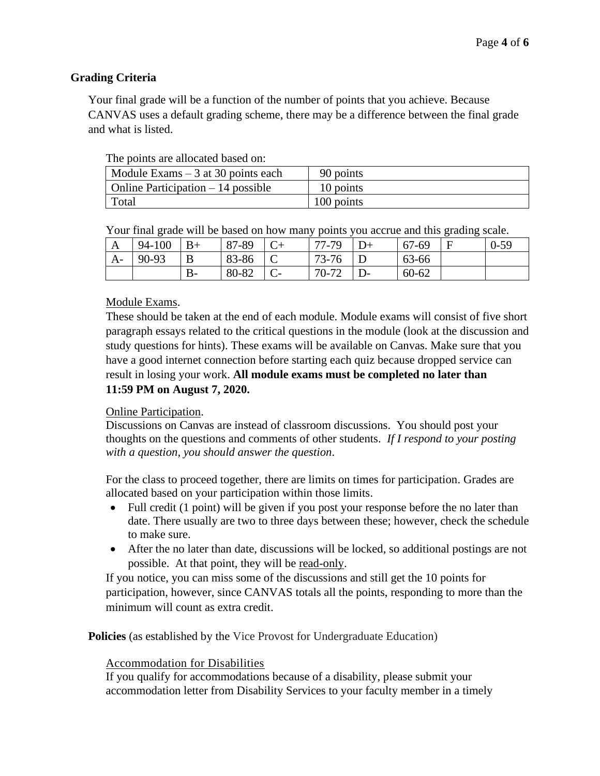# **Grading Criteria**

Your final grade will be a function of the number of points that you achieve. Because CANVAS uses a default grading scheme, there may be a difference between the final grade and what is listed.

| The points are anocated based on.           |            |  |  |  |  |  |  |  |  |
|---------------------------------------------|------------|--|--|--|--|--|--|--|--|
| $\vert$ Module Exams $-3$ at 30 points each | 90 points  |  |  |  |  |  |  |  |  |
| $\vert$ Online Participation $-14$ possible | 10 points  |  |  |  |  |  |  |  |  |
| Total                                       | 100 points |  |  |  |  |  |  |  |  |

The points are allocated based on:

|  |  |  |  | Your final grade will be based on how many points you accrue and this grading scale. |  |
|--|--|--|--|--------------------------------------------------------------------------------------|--|
|  |  |  |  |                                                                                      |  |

| A    | 94-100 | $B+$ | 87-89 |   | 77-79        | $D+$ | 67-69     | E | $0 - 59$ |
|------|--------|------|-------|---|--------------|------|-----------|---|----------|
| $A-$ | 90-93  | B    | 83-86 | ◡ | 73-76        |      | 63-66     |   |          |
|      |        | $B-$ | 80-82 |   | 70-72<br>ے ' | $D-$ | $60 - 62$ |   |          |

## Module Exams.

These should be taken at the end of each module. Module exams will consist of five short paragraph essays related to the critical questions in the module (look at the discussion and study questions for hints). These exams will be available on Canvas. Make sure that you have a good internet connection before starting each quiz because dropped service can result in losing your work. **All module exams must be completed no later than 11:59 PM on August 7, 2020.**

## Online Participation.

Discussions on Canvas are instead of classroom discussions. You should post your thoughts on the questions and comments of other students. *If I respond to your posting with a question, you should answer the question*.

For the class to proceed together, there are limits on times for participation. Grades are allocated based on your participation within those limits.

- Full credit (1 point) will be given if you post your response before the no later than date. There usually are two to three days between these; however, check the schedule to make sure.
- After the no later than date, discussions will be locked, so additional postings are not possible. At that point, they will be read-only.

If you notice, you can miss some of the discussions and still get the 10 points for participation, however, since CANVAS totals all the points, responding to more than the minimum will count as extra credit.

**Policies** (as established by the Vice Provost for Undergraduate Education)

## Accommodation for Disabilities

If you qualify for accommodations because of a disability, please submit your accommodation letter from Disability Services to your faculty member in a timely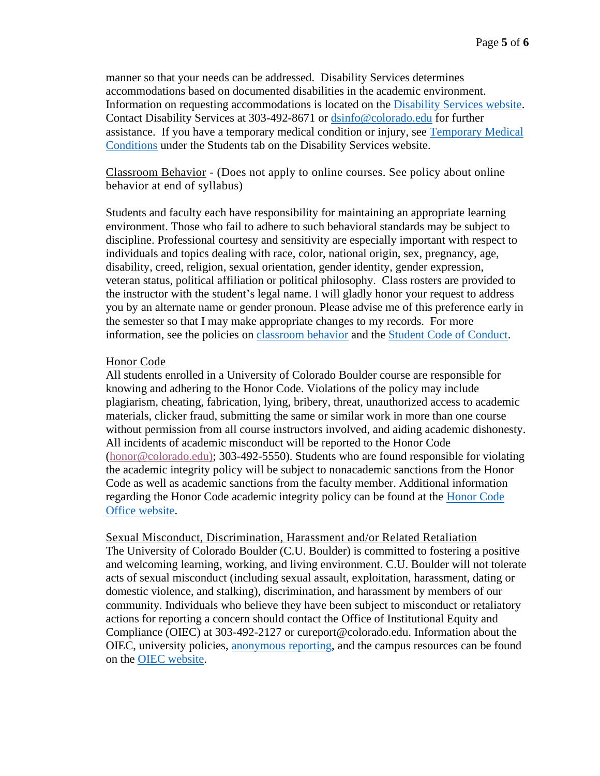manner so that your needs can be addressed. Disability Services determines accommodations based on documented disabilities in the academic environment. Information on requesting accommodations is located on the [Disability Services website.](http://www.colorado.edu/disabilityservices/students) Contact Disability Services at 303-492-8671 or [dsinfo@colorado.edu](mailto:dsinfo@colorado.edu) for further assistance. If you have a temporary medical condition or injury, see [Temporary Medical](http://www.colorado.edu/disabilityservices/students/temporary-medical-conditions)  [Conditions](http://www.colorado.edu/disabilityservices/students/temporary-medical-conditions) under the Students tab on the Disability Services website.

Classroom Behavior - (Does not apply to online courses. See policy about online behavior at end of syllabus)

Students and faculty each have responsibility for maintaining an appropriate learning environment. Those who fail to adhere to such behavioral standards may be subject to discipline. Professional courtesy and sensitivity are especially important with respect to individuals and topics dealing with race, color, national origin, sex, pregnancy, age, disability, creed, religion, sexual orientation, gender identity, gender expression, veteran status, political affiliation or political philosophy. Class rosters are provided to the instructor with the student's legal name. I will gladly honor your request to address you by an alternate name or gender pronoun. Please advise me of this preference early in the semester so that I may make appropriate changes to my records. For more information, see the policies on [classroom behavior](http://www.colorado.edu/policies/student-classroom-and-course-related-behavior) and the [Student Code of Conduct.](http://www.colorado.edu/osccr/)

## Honor Code

All students enrolled in a University of Colorado Boulder course are responsible for knowing and adhering to the Honor Code. Violations of the policy may include plagiarism, cheating, fabrication, lying, bribery, threat, unauthorized access to academic materials, clicker fraud, submitting the same or similar work in more than one course without permission from all course instructors involved, and aiding academic dishonesty. All incidents of academic misconduct will be reported to the Honor Code [\(honor@colorado.edu\)](mailto:honor@colorado.edu); 303-492-5550). Students who are found responsible for violating the academic integrity policy will be subject to nonacademic sanctions from the Honor Code as well as academic sanctions from the faculty member. Additional information regarding the Honor Code academic integrity policy can be found at the [Honor Code](https://www.colorado.edu/osccr/honor-code)  [Office website.](https://www.colorado.edu/osccr/honor-code)

Sexual Misconduct, Discrimination, Harassment and/or Related Retaliation The University of Colorado Boulder (C.U. Boulder) is committed to fostering a positive and welcoming learning, working, and living environment. C.U. Boulder will not tolerate acts of sexual misconduct (including sexual assault, exploitation, harassment, dating or domestic violence, and stalking), discrimination, and harassment by members of our community. Individuals who believe they have been subject to misconduct or retaliatory actions for reporting a concern should contact the Office of Institutional Equity and Compliance (OIEC) at 303-492-2127 or cureport@colorado.edu. Information about the OIEC, university policies, [anonymous reporting,](https://cuboulder.qualtrics.com/jfe/form/SV_0PnqVK4kkIJIZnf) and the campus resources can be found on the [OIEC website.](http://www.colorado.edu/institutionalequity/)